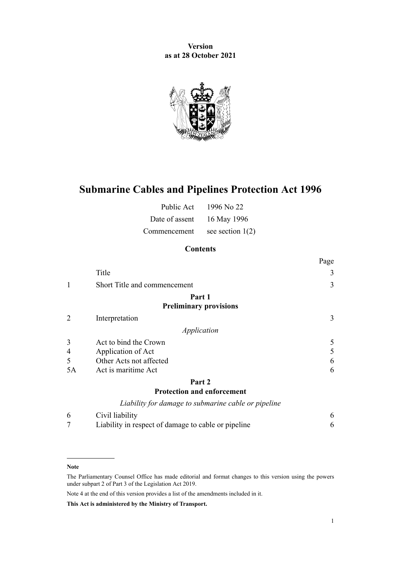**Version as at 28 October 2021**



# **Submarine Cables and Pipelines Protection Act 1996**

| Public Act     | 1996 No 22         |
|----------------|--------------------|
| Date of assent | 16 May 1996        |
| Commencement   | see section $1(2)$ |

# **Contents**

|                |                                                     | Page |
|----------------|-----------------------------------------------------|------|
|                | Title                                               | 3    |
| 1              | Short Title and commencement                        | 3    |
|                | Part 1                                              |      |
|                | <b>Preliminary provisions</b>                       |      |
| $\overline{2}$ | Interpretation                                      | 3    |
|                | Application                                         |      |
| 3              | Act to bind the Crown                               | 5    |
| 4              | Application of Act                                  | 5    |
| 5              | Other Acts not affected                             | 6    |
| 5A             | Act is maritime Act                                 | 6    |
|                | Part 2                                              |      |
|                | <b>Protection and enforcement</b>                   |      |
|                | Liability for damage to submarine cable or pipeline |      |
| 6              | Civil liability                                     | 6    |

| Liability in respect of damage to cable or pipeline |  |
|-----------------------------------------------------|--|

#### **Note**

Note 4 at the end of this version provides a list of the amendments included in it.

**This Act is administered by the Ministry of Transport.**

The Parliamentary Counsel Office has made editorial and format changes to this version using the powers under [subpart 2](http://legislation.govt.nz/pdflink.aspx?id=DLM7298371) of Part 3 of the Legislation Act 2019.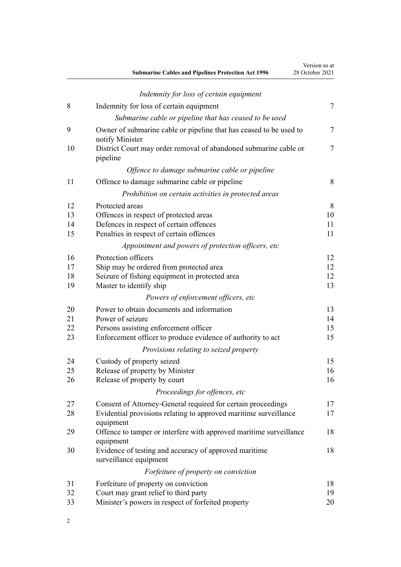|    | <b>Submarine Cables and Pipelines Protection Act 1996</b>                             | Version as at<br>28 October 2021 |
|----|---------------------------------------------------------------------------------------|----------------------------------|
|    | Indemnity for loss of certain equipment                                               |                                  |
| 8  | Indemnity for loss of certain equipment                                               | $\tau$                           |
|    | Submarine cable or pipeline that has ceased to be used                                |                                  |
| 9  | Owner of submarine cable or pipeline that has ceased to be used to<br>notify Minister | 7                                |
| 10 | District Court may order removal of abandoned submarine cable or<br>pipeline          | $\tau$                           |
|    | Offence to damage submarine cable or pipeline                                         |                                  |
| 11 | Offence to damage submarine cable or pipeline                                         | 8                                |
|    | Prohibition on certain activities in protected areas                                  |                                  |
| 12 | Protected areas                                                                       | 8                                |
| 13 | Offences in respect of protected areas                                                | 10                               |
| 14 | Defences in respect of certain offences                                               | 11                               |
| 15 | Penalties in respect of certain offences                                              | 11                               |
|    | Appointment and powers of protection officers, etc                                    |                                  |
| 16 | Protection officers                                                                   | 12                               |
| 17 | Ship may be ordered from protected area                                               | 12                               |
| 18 | Seizure of fishing equipment in protected area                                        | 12                               |
| 19 | Master to identify ship                                                               | 13                               |
|    | Powers of enforcement officers, etc                                                   |                                  |
| 20 | Power to obtain documents and information                                             | 13                               |
| 21 | Power of seizure                                                                      | 14                               |
| 22 | Persons assisting enforcement officer                                                 | 15                               |
| 23 | Enforcement officer to produce evidence of authority to act                           | 15                               |
|    | Provisions relating to seized property                                                |                                  |
| 24 | Custody of property seized                                                            | 15                               |
| 25 | Release of property by Minister                                                       | 16                               |
| 26 | Release of property by court                                                          | 16                               |
|    | Proceedings for offences, etc                                                         |                                  |
| 27 | Consent of Attorney-General required for certain proceedings                          | 17                               |
| 28 | Evidential provisions relating to approved maritime surveillance<br>equipment         | 17                               |
| 29 | Offence to tamper or interfere with approved maritime surveillance<br>equipment       | 18                               |
| 30 | Evidence of testing and accuracy of approved maritime<br>surveillance equipment       | 18                               |
|    | Forfeiture of property on conviction                                                  |                                  |
| 31 | Forfeiture of property on conviction                                                  | 18                               |
| 32 | Court may grant relief to third party                                                 | 19                               |
| 33 | Minister's powers in respect of forfeited property                                    | 20                               |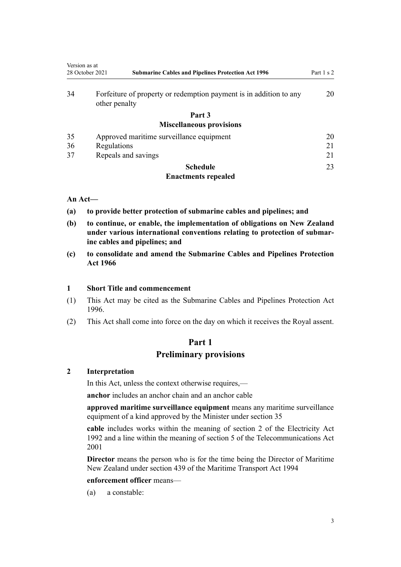<span id="page-2-0"></span>

| Version as at   |                                                                                     |            |
|-----------------|-------------------------------------------------------------------------------------|------------|
| 28 October 2021 | <b>Submarine Cables and Pipelines Protection Act 1996</b>                           | Part 1 s 2 |
| 34              | Forfeiture of property or redemption payment is in addition to any<br>other penalty | 20         |
|                 | Part 3                                                                              |            |
|                 | <b>Miscellaneous provisions</b>                                                     |            |
| 35              | Approved maritime surveillance equipment                                            | 20         |
| 36              | Regulations                                                                         | 21         |
| 37              | Repeals and savings                                                                 | 21         |
|                 | <b>Schedule</b>                                                                     | 23         |

## **[Enactments repealed](#page-22-0)**

## **An Act—**

- **(a) to provide better protection of submarine cables and pipelines; and**
- **(b) to continue, or enable, the implementation of obligations on New Zealand under various international conventions relating to protection of submar‐ ine cables and pipelines; and**
- **(c) to consolidate and amend the Submarine Cables and Pipelines Protection Act 1966**

#### **1 Short Title and commencement**

- (1) This Act may be cited as the Submarine Cables and Pipelines Protection Act 1996.
- (2) This Act shall come into force on the day on which it receives the Royal assent.

# **Part 1 Preliminary provisions**

#### **2 Interpretation**

In this Act, unless the context otherwise requires,—

**anchor** includes an anchor chain and an anchor cable

**approved maritime surveillance equipment** means any maritime surveillance equipment of a kind approved by the Minister under [section 35](#page-19-0)

**cable** includes works within the meaning of [section 2](http://legislation.govt.nz/pdflink.aspx?id=DLM281866) of the Electricity Act 1992 and a line within the meaning of [section 5](http://legislation.govt.nz/pdflink.aspx?id=DLM124974) of the Telecommunications Act 2001

**Director** means the person who is for the time being the Director of Maritime New Zealand under [section 439](http://legislation.govt.nz/pdflink.aspx?id=DLM338836) of the Maritime Transport Act 1994

#### **enforcement officer** means—

(a) a constable: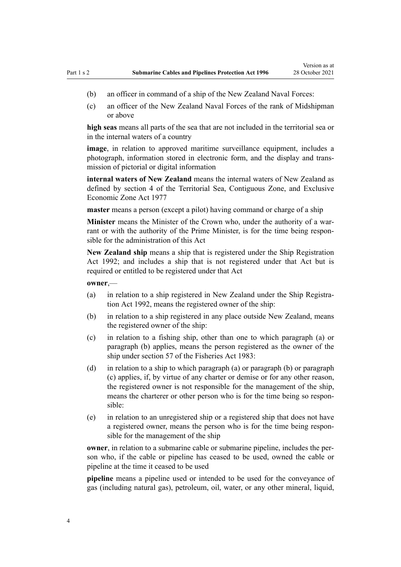- (b) an officer in command of a ship of the New Zealand Naval Forces:
- (c) an officer of the New Zealand Naval Forces of the rank of Midshipman or above

**high seas** means all parts of the sea that are not included in the territorial sea or in the internal waters of a country

**image**, in relation to approved maritime surveillance equipment, includes a photograph, information stored in electronic form, and the display and trans‐ mission of pictorial or digital information

**internal waters of New Zealand** means the internal waters of New Zealand as defined by [section 4](http://legislation.govt.nz/pdflink.aspx?id=DLM442667) of the Territorial Sea, Contiguous Zone, and Exclusive Economic Zone Act 1977

**master** means a person (except a pilot) having command or charge of a ship

Minister means the Minister of the Crown who, under the authority of a warrant or with the authority of the Prime Minister, is for the time being responsible for the administration of this Act

**New Zealand ship** means a ship that is registered under the [Ship Registration](http://legislation.govt.nz/pdflink.aspx?id=DLM275026) [Act 1992](http://legislation.govt.nz/pdflink.aspx?id=DLM275026); and includes a ship that is not registered under that Act but is required or entitled to be registered under that Act

**owner**,—

- (a) in relation to a ship registered in New Zealand under the Ship Registra‐ tion Act 1992, means the registered owner of the ship:
- (b) in relation to a ship registered in any place outside New Zealand, means the registered owner of the ship:
- (c) in relation to a fishing ship, other than one to which paragraph (a) or paragraph (b) applies, means the person registered as the owner of the ship under [section 57](http://legislation.govt.nz/pdflink.aspx?id=DLM69445) of the Fisheries Act 1983:
- (d) in relation to a ship to which paragraph (a) or paragraph (b) or paragraph (c) applies, if, by virtue of any charter or demise or for any other reason, the registered owner is not responsible for the management of the ship, means the charterer or other person who is for the time being so responsible:
- (e) in relation to an unregistered ship or a registered ship that does not have a registered owner, means the person who is for the time being respon‐ sible for the management of the ship

**owner**, in relation to a submarine cable or submarine pipeline, includes the person who, if the cable or pipeline has ceased to be used, owned the cable or pipeline at the time it ceased to be used

**pipeline** means a pipeline used or intended to be used for the conveyance of gas (including natural gas), petroleum, oil, water, or any other mineral, liquid,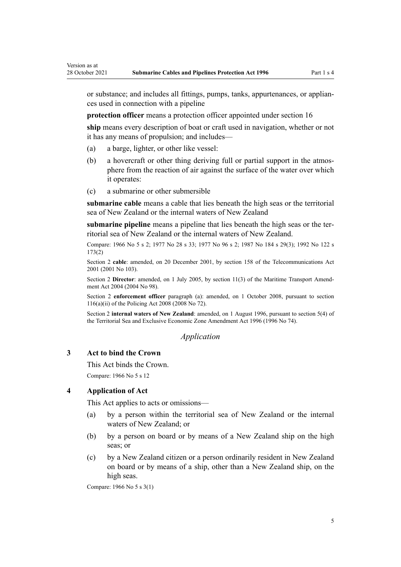or substance; and includes all fittings, pumps, tanks, appurtenances, or applian‐ ces used in connection with a pipeline

**protection officer** means a protection officer appointed under [section 16](#page-11-0)

**ship** means every description of boat or craft used in navigation, whether or not it has any means of propulsion; and includes—

(a) a barge, lighter, or other like vessel:

<span id="page-4-0"></span>Version as at

- (b) a hovercraft or other thing deriving full or partial support in the atmosphere from the reaction of air against the surface of the water over which it operates:
- (c) a submarine or other submersible

**submarine cable** means a cable that lies beneath the high seas or the territorial sea of New Zealand or the internal waters of New Zealand

**submarine pipeline** means a pipeline that lies beneath the high seas or the ter‐ ritorial sea of New Zealand or the internal waters of New Zealand.

Compare: 1966 No 5 s 2; 1977 No 28 [s 33](http://legislation.govt.nz/pdflink.aspx?id=DLM442752); 1977 No 96 s 2; 1987 No 184 s 29(3); 1992 No 122 [s](http://legislation.govt.nz/pdflink.aspx?id=DLM284137) [173\(2\)](http://legislation.govt.nz/pdflink.aspx?id=DLM284137)

Section 2 **cable**: amended, on 20 December 2001, by [section 158](http://legislation.govt.nz/pdflink.aspx?id=DLM127740) of the Telecommunications Act 2001 (2001 No 103).

Section 2 Director: amended, on 1 July 2005, by [section 11\(3\)](http://legislation.govt.nz/pdflink.aspx?id=DLM322600) of the Maritime Transport Amendment Act 2004 (2004 No 98).

Section 2 **enforcement officer** paragraph (a): amended, on 1 October 2008, pursuant to [section](http://legislation.govt.nz/pdflink.aspx?id=DLM1102349) [116\(a\)\(ii\)](http://legislation.govt.nz/pdflink.aspx?id=DLM1102349) of the Policing Act 2008 (2008 No 72).

Section 2 **internal waters of New Zealand**: amended, on 1 August 1996, pursuant to section 5(4) of the Territorial Sea and Exclusive Economic Zone Amendment Act 1996 (1996 No 74).

#### *Application*

#### **3 Act to bind the Crown**

This Act binds the Crown.

Compare: 1966 No 5 s 12

#### **4 Application of Act**

This Act applies to acts or omissions—

- (a) by a person within the territorial sea of New Zealand or the internal waters of New Zealand; or
- (b) by a person on board or by means of a New Zealand ship on the high seas; or
- (c) by a New Zealand citizen or a person ordinarily resident in New Zealand on board or by means of a ship, other than a New Zealand ship, on the high seas.

Compare: 1966 No 5 s 3(1)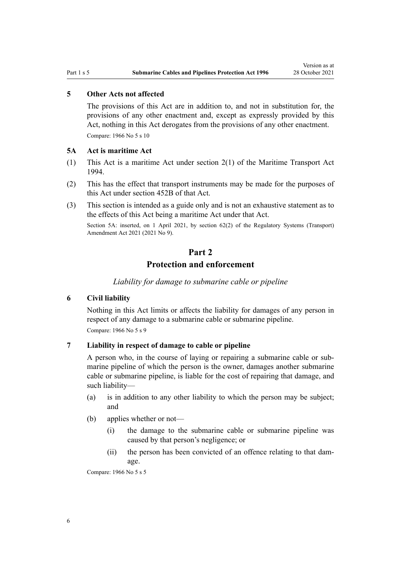#### <span id="page-5-0"></span>**5 Other Acts not affected**

The provisions of this Act are in addition to, and not in substitution for, the provisions of any other enactment and, except as expressly provided by this Act, nothing in this Act derogates from the provisions of any other enactment. Compare: 1966 No 5 s 10

#### **5A Act is maritime Act**

- (1) This Act is a maritime Act under [section 2\(1\)](http://legislation.govt.nz/pdflink.aspx?id=DLM334667) of the Maritime Transport Act 1994.
- (2) This has the effect that transport instruments may be made for the purposes of this Act under [section 452B](http://legislation.govt.nz/pdflink.aspx?id=LMS482571) of that Act.
- (3) This section is intended as a guide only and is not an exhaustive statement as to the effects of this Act being a maritime Act under that Act.

Section 5A: inserted, on 1 April 2021, by [section 62\(2\)](http://legislation.govt.nz/pdflink.aspx?id=LMS290411) of the Regulatory Systems (Transport) Amendment Act 2021 (2021 No 9).

# **Part 2**

## **Protection and enforcement**

*Liability for damage to submarine cable or pipeline*

## **6 Civil liability**

Nothing in this Act limits or affects the liability for damages of any person in respect of any damage to a submarine cable or submarine pipeline. Compare: 1966 No 5 s 9

#### **7 Liability in respect of damage to cable or pipeline**

A person who, in the course of laying or repairing a submarine cable or sub‐ marine pipeline of which the person is the owner, damages another submarine cable or submarine pipeline, is liable for the cost of repairing that damage, and such liability—

- (a) is in addition to any other liability to which the person may be subject; and
- (b) applies whether or not—
	- (i) the damage to the submarine cable or submarine pipeline was caused by that person's negligence; or
	- (ii) the person has been convicted of an offence relating to that damage.

Compare: 1966 No 5 s 5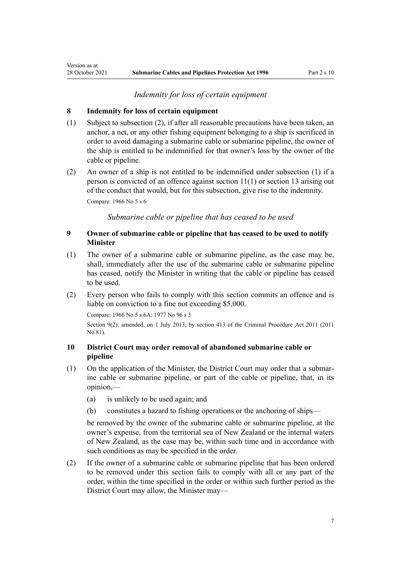#### *Indemnity for loss of certain equipment*

#### **8 Indemnity for loss of certain equipment**

<span id="page-6-0"></span>Version as at

- (1) Subject to subsection (2), if after all reasonable precautions have been taken, an anchor, a net, or any other fishing equipment belonging to a ship is sacrificed in order to avoid damaging a submarine cable or submarine pipeline, the owner of the ship is entitled to be indemnified for that owner's loss by the owner of the cable or pipeline.
- (2) An owner of a ship is not entitled to be indemnified under subsection (1) if a person is convicted of an offence against [section 11\(1\)](#page-7-0) or [section 13](#page-9-0) arising out of the conduct that would, but for this subsection, give rise to the indemnity. Compare: 1966 No 5 s 6

*Submarine cable or pipeline that has ceased to be used*

## **9 Owner of submarine cable or pipeline that has ceased to be used to notify Minister**

- (1) The owner of a submarine cable or submarine pipeline, as the case may be, shall, immediately after the use of the submarine cable or submarine pipeline has ceased, notify the Minister in writing that the cable or pipeline has ceased to be used.
- (2) Every person who fails to comply with this section commits an offence and is liable on conviction to a fine not exceeding \$5,000.

Compare: 1966 No 5 s 6A; 1977 No 96 s 3

Section 9(2): amended, on 1 July 2013, by [section 413](http://legislation.govt.nz/pdflink.aspx?id=DLM3360714) of the Criminal Procedure Act 2011 (2011 No 81).

#### **10 District Court may order removal of abandoned submarine cable or pipeline**

- (1) On the application of the Minister, the District Court may order that a submar‐ ine cable or submarine pipeline, or part of the cable or pipeline, that, in its opinion,—
	- (a) is unlikely to be used again; and
	- (b) constitutes a hazard to fishing operations or the anchoring of ships—

be removed by the owner of the submarine cable or submarine pipeline, at the owner's expense, from the territorial sea of New Zealand or the internal waters of New Zealand, as the case may be, within such time and in accordance with such conditions as may be specified in the order.

(2) If the owner of a submarine cable or submarine pipeline that has been ordered to be removed under this section fails to comply with all or any part of the order, within the time specified in the order or within such further period as the District Court may allow, the Minister may—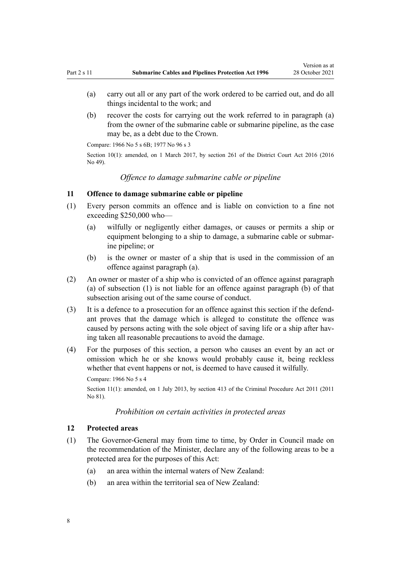- <span id="page-7-0"></span>(a) carry out all or any part of the work ordered to be carried out, and do all things incidental to the work; and
- (b) recover the costs for carrying out the work referred to in paragraph (a) from the owner of the submarine cable or submarine pipeline, as the case may be, as a debt due to the Crown.

Compare: 1966 No 5 s 6B; 1977 No 96 s 3

Section 10(1): amended, on 1 March 2017, by [section 261](http://legislation.govt.nz/pdflink.aspx?id=DLM6942680) of the District Court Act 2016 (2016) No 49).

*Offence to damage submarine cable or pipeline*

#### **11 Offence to damage submarine cable or pipeline**

- (1) Every person commits an offence and is liable on conviction to a fine not exceeding \$250,000 who—
	- (a) wilfully or negligently either damages, or causes or permits a ship or equipment belonging to a ship to damage, a submarine cable or submar‐ ine pipeline; or
	- (b) is the owner or master of a ship that is used in the commission of an offence against paragraph (a).
- (2) An owner or master of a ship who is convicted of an offence against paragraph (a) of subsection (1) is not liable for an offence against paragraph (b) of that subsection arising out of the same course of conduct.
- (3) It is a defence to a prosecution for an offence against this section if the defend‐ ant proves that the damage which is alleged to constitute the offence was caused by persons acting with the sole object of saving life or a ship after having taken all reasonable precautions to avoid the damage.
- (4) For the purposes of this section, a person who causes an event by an act or omission which he or she knows would probably cause it, being reckless whether that event happens or not, is deemed to have caused it wilfully.

Compare: 1966 No 5 s 4

Section 11(1): amended, on 1 July 2013, by [section 413](http://legislation.govt.nz/pdflink.aspx?id=DLM3360714) of the Criminal Procedure Act 2011 (2011 No 81).

#### *Prohibition on certain activities in protected areas*

#### **12 Protected areas**

- (1) The Governor-General may from time to time, by Order in Council made on the recommendation of the Minister, declare any of the following areas to be a protected area for the purposes of this Act:
	- (a) an area within the internal waters of New Zealand:
	- (b) an area within the territorial sea of New Zealand: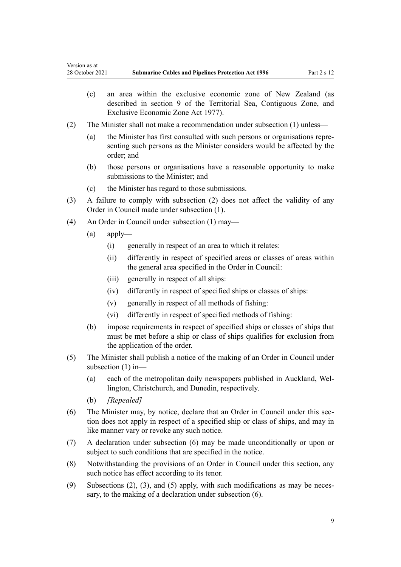- (c) an area within the exclusive economic zone of New Zealand (as described in [section 9](http://legislation.govt.nz/pdflink.aspx?id=DLM442682) of the Territorial Sea, Contiguous Zone, and Exclusive Economic Zone Act 1977).
- (2) The Minister shall not make a recommendation under subsection (1) unless—
	- (a) the Minister has first consulted with such persons or organisations repre‐ senting such persons as the Minister considers would be affected by the order; and
	- (b) those persons or organisations have a reasonable opportunity to make submissions to the Minister; and
	- (c) the Minister has regard to those submissions.
- (3) A failure to comply with subsection (2) does not affect the validity of any Order in Council made under subsection (1).
- (4) An Order in Council under subsection (1) may—
	- (a) apply—
		- (i) generally in respect of an area to which it relates:
		- (ii) differently in respect of specified areas or classes of areas within the general area specified in the Order in Council:
		- (iii) generally in respect of all ships:
		- (iv) differently in respect of specified ships or classes of ships:
		- (v) generally in respect of all methods of fishing:
		- (vi) differently in respect of specified methods of fishing:
	- (b) impose requirements in respect of specified ships or classes of ships that must be met before a ship or class of ships qualifies for exclusion from the application of the order.
- (5) The Minister shall publish a notice of the making of an Order in Council under subsection (1) in—
	- (a) each of the metropolitan daily newspapers published in Auckland, Wel‐ lington, Christchurch, and Dunedin, respectively.
	- (b) *[Repealed]*
- (6) The Minister may, by notice, declare that an Order in Council under this sec‐ tion does not apply in respect of a specified ship or class of ships, and may in like manner vary or revoke any such notice.
- (7) A declaration under subsection (6) may be made unconditionally or upon or subject to such conditions that are specified in the notice.
- (8) Notwithstanding the provisions of an Order in Council under this section, any such notice has effect according to its tenor.
- (9) Subsections  $(2)$ ,  $(3)$ , and  $(5)$  apply, with such modifications as may be necessary, to the making of a declaration under subsection (6).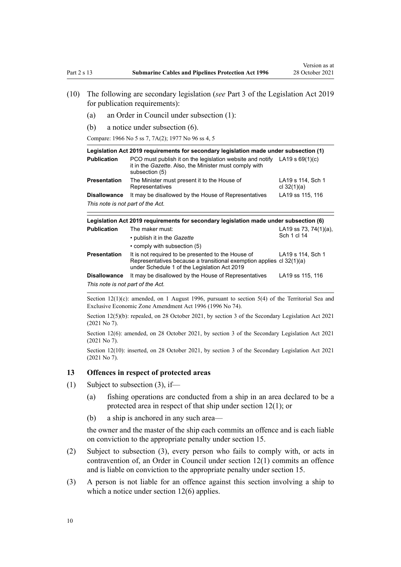- <span id="page-9-0"></span>(10) The following are secondary legislation (*see* [Part 3](http://legislation.govt.nz/pdflink.aspx?id=DLM7298343) of the Legislation Act 2019 for publication requirements):
	- (a) an Order in Council under subsection (1):
	- (b) a notice under subsection (6).

Compare: 1966 No 5 ss 7, 7A(2); 1977 No 96 ss 4, 5

| Legislation Act 2019 requirements for secondary legislation made under subsection (1) |                                                                                                                                       |                                    |  |
|---------------------------------------------------------------------------------------|---------------------------------------------------------------------------------------------------------------------------------------|------------------------------------|--|
| <b>Publication</b>                                                                    | PCO must publish it on the legislation website and notify<br>it in the Gazette. Also, the Minister must comply with<br>subsection (5) | $LA19 \text{ s } 69(1)(c)$         |  |
| <b>Presentation</b>                                                                   | The Minister must present it to the House of<br>Representatives                                                                       | LA19 s 114, Sch 1<br>cl $32(1)(a)$ |  |
| <b>Disallowance</b>                                                                   | It may be disallowed by the House of Representatives                                                                                  | LA19 ss 115, 116                   |  |
| This note is not part of the Act.                                                     |                                                                                                                                       |                                    |  |

| Legislation Act 2019 requirements for secondary legislation made under subsection (6) |                                                                                                                                                                            |                                          |  |
|---------------------------------------------------------------------------------------|----------------------------------------------------------------------------------------------------------------------------------------------------------------------------|------------------------------------------|--|
| <b>Publication</b>                                                                    | The maker must:                                                                                                                                                            | LA19 ss 73, 74 $(1)(a)$ ,<br>Sch 1 cl 14 |  |
|                                                                                       | • publish it in the Gazette<br>• comply with subsection (5)                                                                                                                |                                          |  |
| <b>Presentation</b>                                                                   | It is not required to be presented to the House of<br>Representatives because a transitional exemption applies cl 32(1)(a)<br>under Schedule 1 of the Legislation Act 2019 | LA19 s 114, Sch 1                        |  |
| <b>Disallowance</b>                                                                   | It may be disallowed by the House of Representatives                                                                                                                       | LA19 ss 115, 116                         |  |
| This note is not part of the Act.                                                     |                                                                                                                                                                            |                                          |  |

Section  $12(1)(c)$ : amended, on 1 August 1996, pursuant to section 5(4) of the Territorial Sea and Exclusive Economic Zone Amendment Act 1996 (1996 No 74).

Section 12(5)(b): repealed, on 28 October 2021, by [section 3](http://legislation.govt.nz/pdflink.aspx?id=LMS268932) of the Secondary Legislation Act 2021 (2021 No 7).

Section 12(6): amended, on 28 October 2021, by [section 3](http://legislation.govt.nz/pdflink.aspx?id=LMS268932) of the Secondary Legislation Act 2021 (2021 No 7).

Section 12(10): inserted, on 28 October 2021, by [section 3](http://legislation.govt.nz/pdflink.aspx?id=LMS268932) of the Secondary Legislation Act 2021 (2021 No 7).

#### **13 Offences in respect of protected areas**

- (1) Subject to subsection  $(3)$ , if—
	- (a) fishing operations are conducted from a ship in an area declared to be a protected area in respect of that ship under [section 12\(1\)](#page-7-0); or
	- (b) a ship is anchored in any such area—

the owner and the master of the ship each commits an offence and is each liable on conviction to the appropriate penalty under [section 15.](#page-10-0)

- (2) Subject to subsection (3), every person who fails to comply with, or acts in contravention of, an Order in Council under [section 12\(1\)](#page-7-0) commits an offence and is liable on conviction to the appropriate penalty under [section 15](#page-10-0).
- (3) A person is not liable for an offence against this section involving a ship to which a notice under [section 12\(6\)](#page-7-0) applies.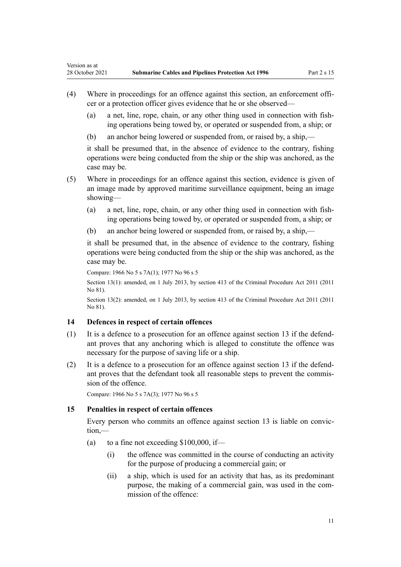<span id="page-10-0"></span>Version as at

- (4) Where in proceedings for an offence against this section, an enforcement offi‐ cer or a protection officer gives evidence that he or she observed—
	- (a) a net, line, rope, chain, or any other thing used in connection with fish‐ ing operations being towed by, or operated or suspended from, a ship; or
	- (b) an anchor being lowered or suspended from, or raised by, a ship,—

it shall be presumed that, in the absence of evidence to the contrary, fishing operations were being conducted from the ship or the ship was anchored, as the case may be.

- (5) Where in proceedings for an offence against this section, evidence is given of an image made by approved maritime surveillance equipment, being an image showing—
	- (a) a net, line, rope, chain, or any other thing used in connection with fishing operations being towed by, or operated or suspended from, a ship; or
	- (b) an anchor being lowered or suspended from, or raised by, a ship,—

it shall be presumed that, in the absence of evidence to the contrary, fishing operations were being conducted from the ship or the ship was anchored, as the case may be.

Compare: 1966 No 5 s 7A(1); 1977 No 96 s 5

Section 13(1): amended, on 1 July 2013, by [section 413](http://legislation.govt.nz/pdflink.aspx?id=DLM3360714) of the Criminal Procedure Act 2011 (2011 No 81).

Section 13(2): amended, on 1 July 2013, by [section 413](http://legislation.govt.nz/pdflink.aspx?id=DLM3360714) of the Criminal Procedure Act 2011 (2011 No 81).

## **14 Defences in respect of certain offences**

- $(1)$  It is a defence to a prosecution for an offence against [section 13](#page-9-0) if the defendant proves that any anchoring which is alleged to constitute the offence was necessary for the purpose of saving life or a ship.
- (2) It is a defence to a prosecution for an offence against [section 13](#page-9-0) if the defend‐ ant proves that the defendant took all reasonable steps to prevent the commis‐ sion of the offence.

Compare: 1966 No 5 s 7A(3); 1977 No 96 s 5

#### **15 Penalties in respect of certain offences**

Every person who commits an offence against [section 13](#page-9-0) is liable on conviction,—

- (a) to a fine not exceeding  $$100,000$ , if—
	- (i) the offence was committed in the course of conducting an activity for the purpose of producing a commercial gain; or
	- (ii) a ship, which is used for an activity that has, as its predominant purpose, the making of a commercial gain, was used in the commission of the offence: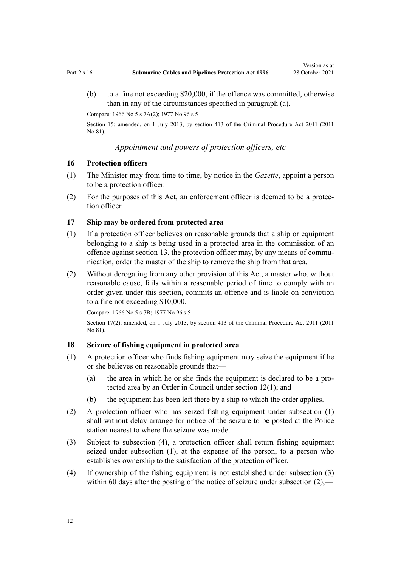<span id="page-11-0"></span>(b) to a fine not exceeding \$20,000, if the offence was committed, otherwise than in any of the circumstances specified in paragraph (a).

Compare: 1966 No 5 s 7A(2); 1977 No 96 s 5

Section 15: amended, on 1 July 2013, by [section 413](http://legislation.govt.nz/pdflink.aspx?id=DLM3360714) of the Criminal Procedure Act 2011 (2011 No 81).

*Appointment and powers of protection officers, etc*

#### **16 Protection officers**

- (1) The Minister may from time to time, by notice in the *Gazette*, appoint a person to be a protection officer.
- (2) For the purposes of this Act, an enforcement officer is deemed to be a protec‐ tion officer.

#### **17 Ship may be ordered from protected area**

- (1) If a protection officer believes on reasonable grounds that a ship or equipment belonging to a ship is being used in a protected area in the commission of an offence against [section 13,](#page-9-0) the protection officer may, by any means of communication, order the master of the ship to remove the ship from that area.
- (2) Without derogating from any other provision of this Act, a master who, without reasonable cause, fails within a reasonable period of time to comply with an order given under this section, commits an offence and is liable on conviction to a fine not exceeding \$10,000.

Compare: 1966 No 5 s 7B; 1977 No 96 s 5

Section 17(2): amended, on 1 July 2013, by [section 413](http://legislation.govt.nz/pdflink.aspx?id=DLM3360714) of the Criminal Procedure Act 2011 (2011 No 81).

#### **18 Seizure of fishing equipment in protected area**

- (1) A protection officer who finds fishing equipment may seize the equipment if he or she believes on reasonable grounds that—
	- (a) the area in which he or she finds the equipment is declared to be a pro‐ tected area by an Order in Council under [section 12\(1\);](#page-7-0) and
	- (b) the equipment has been left there by a ship to which the order applies.
- (2) A protection officer who has seized fishing equipment under subsection (1) shall without delay arrange for notice of the seizure to be posted at the Police station nearest to where the seizure was made.
- (3) Subject to subsection (4), a protection officer shall return fishing equipment seized under subsection (1), at the expense of the person, to a person who establishes ownership to the satisfaction of the protection officer.
- (4) If ownership of the fishing equipment is not established under subsection (3) within 60 days after the posting of the notice of seizure under subsection (2),—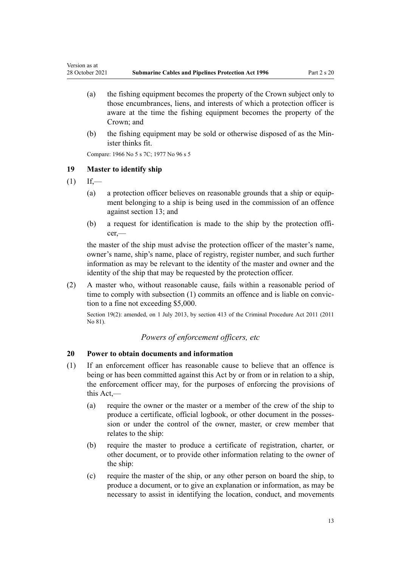- (a) the fishing equipment becomes the property of the Crown subject only to those encumbrances, liens, and interests of which a protection officer is aware at the time the fishing equipment becomes the property of the Crown; and
- (b) the fishing equipment may be sold or otherwise disposed of as the Minister thinks fit.

Compare: 1966 No 5 s 7C; 1977 No 96 s 5

## **19 Master to identify ship**

 $(1)$  If,—

<span id="page-12-0"></span>Version as at

- (a) a protection officer believes on reasonable grounds that a ship or equip‐ ment belonging to a ship is being used in the commission of an offence against [section 13;](#page-9-0) and
- (b) a request for identification is made to the ship by the protection officer,—

the master of the ship must advise the protection officer of the master's name, owner's name, ship's name, place of registry, register number, and such further information as may be relevant to the identity of the master and owner and the identity of the ship that may be requested by the protection officer.

(2) A master who, without reasonable cause, fails within a reasonable period of time to comply with subsection (1) commits an offence and is liable on conviction to a fine not exceeding \$5,000.

Section 19(2): amended, on 1 July 2013, by [section 413](http://legislation.govt.nz/pdflink.aspx?id=DLM3360714) of the Criminal Procedure Act 2011 (2011 No 81).

## *Powers of enforcement officers, etc*

## **20 Power to obtain documents and information**

- (1) If an enforcement officer has reasonable cause to believe that an offence is being or has been committed against this Act by or from or in relation to a ship, the enforcement officer may, for the purposes of enforcing the provisions of this Act,—
	- (a) require the owner or the master or a member of the crew of the ship to produce a certificate, official logbook, or other document in the posses‐ sion or under the control of the owner, master, or crew member that relates to the ship:
	- (b) require the master to produce a certificate of registration, charter, or other document, or to provide other information relating to the owner of the ship:
	- (c) require the master of the ship, or any other person on board the ship, to produce a document, or to give an explanation or information, as may be necessary to assist in identifying the location, conduct, and movements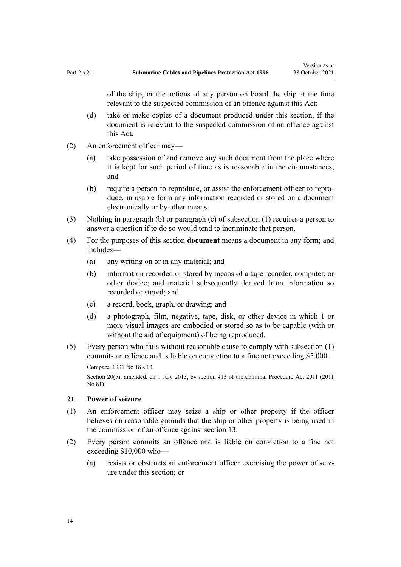<span id="page-13-0"></span>of the ship, or the actions of any person on board the ship at the time relevant to the suspected commission of an offence against this Act:

- (d) take or make copies of a document produced under this section, if the document is relevant to the suspected commission of an offence against this Act.
- (2) An enforcement officer may—
	- (a) take possession of and remove any such document from the place where it is kept for such period of time as is reasonable in the circumstances; and
	- (b) require a person to reproduce, or assist the enforcement officer to repro‐ duce, in usable form any information recorded or stored on a document electronically or by other means.
- (3) Nothing in paragraph (b) or paragraph (c) of subsection (1) requires a person to answer a question if to do so would tend to incriminate that person.
- (4) For the purposes of this section **document** means a document in any form; and includes—
	- (a) any writing on or in any material; and
	- (b) information recorded or stored by means of a tape recorder, computer, or other device; and material subsequently derived from information so recorded or stored; and
	- (c) a record, book, graph, or drawing; and
	- (d) a photograph, film, negative, tape, disk, or other device in which 1 or more visual images are embodied or stored so as to be capable (with or without the aid of equipment) of being reproduced.
- (5) Every person who fails without reasonable cause to comply with subsection (1) commits an offence and is liable on conviction to a fine not exceeding \$5,000.

Section 20(5): amended, on 1 July 2013, by [section 413](http://legislation.govt.nz/pdflink.aspx?id=DLM3360714) of the Criminal Procedure Act 2011 (2011 No 81).

#### **21 Power of seizure**

- (1) An enforcement officer may seize a ship or other property if the officer believes on reasonable grounds that the ship or other property is being used in the commission of an offence against [section 13](#page-9-0).
- (2) Every person commits an offence and is liable on conviction to a fine not exceeding \$10,000 who—
	- (a) resists or obstructs an enforcement officer exercising the power of seiz‐ ure under this section; or

Compare: 1991 No 18 [s 13](http://legislation.govt.nz/pdflink.aspx?id=DLM228981)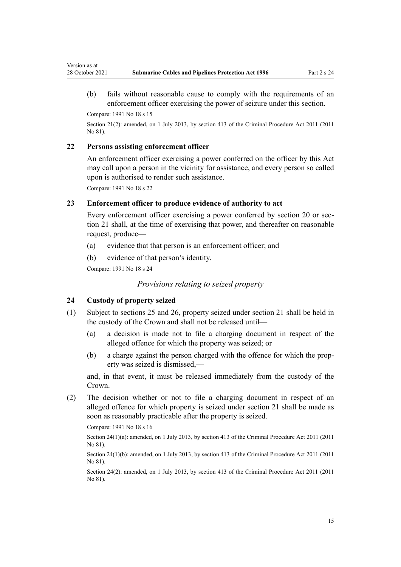<span id="page-14-0"></span>(b) fails without reasonable cause to comply with the requirements of an enforcement officer exercising the power of seizure under this section.

Compare: 1991 No 18 [s 15](http://legislation.govt.nz/pdflink.aspx?id=DLM228983)

Section 21(2): amended, on 1 July 2013, by [section 413](http://legislation.govt.nz/pdflink.aspx?id=DLM3360714) of the Criminal Procedure Act 2011 (2011 No 81).

## **22 Persons assisting enforcement officer**

An enforcement officer exercising a power conferred on the officer by this Act may call upon a person in the vicinity for assistance, and every person so called upon is authorised to render such assistance.

Compare: 1991 No 18 [s 22](http://legislation.govt.nz/pdflink.aspx?id=DLM228990)

## **23 Enforcement officer to produce evidence of authority to act**

Every enforcement officer exercising a power conferred by [section 20](#page-12-0) or sec[tion 21](#page-13-0) shall, at the time of exercising that power, and thereafter on reasonable request, produce—

- (a) evidence that that person is an enforcement officer; and
- (b) evidence of that person's identity.

Compare: 1991 No 18 [s 24](http://legislation.govt.nz/pdflink.aspx?id=DLM228992)

## *Provisions relating to seized property*

## **24 Custody of property seized**

- (1) Subject to [sections 25](#page-15-0) and [26](#page-15-0), property seized under [section 21](#page-13-0) shall be held in the custody of the Crown and shall not be released until—
	- (a) a decision is made not to file a charging document in respect of the alleged offence for which the property was seized; or
	- (b) a charge against the person charged with the offence for which the prop‐ erty was seized is dismissed,—

and, in that event, it must be released immediately from the custody of the Crown.

(2) The decision whether or not to file a charging document in respect of an alleged offence for which property is seized under [section 21](#page-13-0) shall be made as soon as reasonably practicable after the property is seized.

Compare: 1991 No 18 [s 16](http://legislation.govt.nz/pdflink.aspx?id=DLM228984)

Section 24(1)(a): amended, on 1 July 2013, by [section 413](http://legislation.govt.nz/pdflink.aspx?id=DLM3360714) of the Criminal Procedure Act 2011 (2011 No 81).

Section 24(1)(b): amended, on 1 July 2013, by [section 413](http://legislation.govt.nz/pdflink.aspx?id=DLM3360714) of the Criminal Procedure Act 2011 (2011 No 81).

Section 24(2): amended, on 1 July 2013, by [section 413](http://legislation.govt.nz/pdflink.aspx?id=DLM3360714) of the Criminal Procedure Act 2011 (2011 No 81).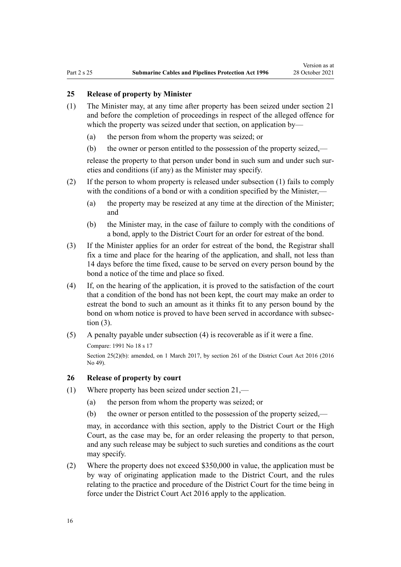#### <span id="page-15-0"></span>**25 Release of property by Minister**

- (1) The Minister may, at any time after property has been seized under [section 21](#page-13-0) and before the completion of proceedings in respect of the alleged offence for which the property was seized under that section, on application by—
	- (a) the person from whom the property was seized; or
	- (b) the owner or person entitled to the possession of the property seized,—

release the property to that person under bond in such sum and under such sureties and conditions (if any) as the Minister may specify.

- (2) If the person to whom property is released under subsection (1) fails to comply with the conditions of a bond or with a condition specified by the Minister,—
	- (a) the property may be reseized at any time at the direction of the Minister; and
	- (b) the Minister may, in the case of failure to comply with the conditions of a bond, apply to the District Court for an order for estreat of the bond.
- (3) If the Minister applies for an order for estreat of the bond, the Registrar shall fix a time and place for the hearing of the application, and shall, not less than 14 days before the time fixed, cause to be served on every person bound by the bond a notice of the time and place so fixed.
- (4) If, on the hearing of the application, it is proved to the satisfaction of the court that a condition of the bond has not been kept, the court may make an order to estreat the bond to such an amount as it thinks fit to any person bound by the bond on whom notice is proved to have been served in accordance with subsection (3).
- (5) A penalty payable under subsection (4) is recoverable as if it were a fine.

Compare: 1991 No 18 [s 17](http://legislation.govt.nz/pdflink.aspx?id=DLM228985)

Section 25(2)(b): amended, on 1 March 2017, by [section 261](http://legislation.govt.nz/pdflink.aspx?id=DLM6942680) of the District Court Act 2016 (2016 No 49).

#### **26 Release of property by court**

- (1) Where property has been seized under [section 21,](#page-13-0)
	- (a) the person from whom the property was seized; or
	- (b) the owner or person entitled to the possession of the property seized,—

may, in accordance with this section, apply to the District Court or the High Court, as the case may be, for an order releasing the property to that person, and any such release may be subject to such sureties and conditions as the court may specify.

(2) Where the property does not exceed \$350,000 in value, the application must be by way of originating application made to the District Court, and the rules relating to the practice and procedure of the District Court for the time being in force under the [District Court Act 2016](http://legislation.govt.nz/pdflink.aspx?id=DLM6942200) apply to the application.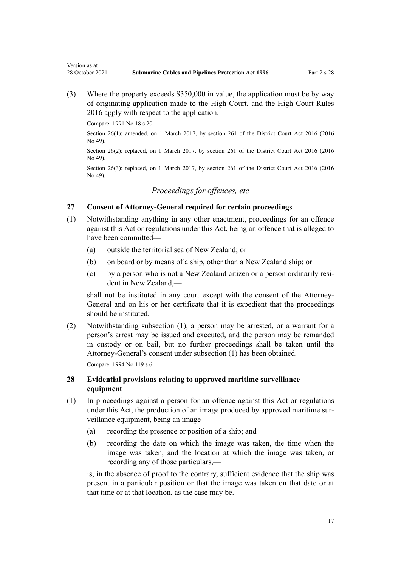(3) Where the property exceeds \$350,000 in value, the application must be by way of originating application made to the High Court, and the [High Court Rules](http://legislation.govt.nz/pdflink.aspx?id=DLM6959800) [2016](http://legislation.govt.nz/pdflink.aspx?id=DLM6959800) apply with respect to the application.

Compare: 1991 No 18 [s 20](http://legislation.govt.nz/pdflink.aspx?id=DLM228988)

<span id="page-16-0"></span>Version as at

Section 26(1): amended, on 1 March 2017, by [section 261](http://legislation.govt.nz/pdflink.aspx?id=DLM6942680) of the District Court Act 2016 (2016 No 49).

Section 26(2): replaced, on 1 March 2017, by [section 261](http://legislation.govt.nz/pdflink.aspx?id=DLM6942680) of the District Court Act 2016 (2016) No 49).

Section 26(3): replaced, on 1 March 2017, by [section 261](http://legislation.govt.nz/pdflink.aspx?id=DLM6942680) of the District Court Act 2016 (2016) No 49).

# *Proceedings for offences, etc*

## **27 Consent of Attorney-General required for certain proceedings**

- (1) Notwithstanding anything in any other enactment, proceedings for an offence against this Act or regulations under this Act, being an offence that is alleged to have been committed—
	- (a) outside the territorial sea of New Zealand; or
	- (b) on board or by means of a ship, other than a New Zealand ship; or
	- (c) by a person who is not a New Zealand citizen or a person ordinarily resi‐ dent in New Zealand,—

shall not be instituted in any court except with the consent of the Attorney-General and on his or her certificate that it is expedient that the proceedings should be instituted.

(2) Notwithstanding subsection (1), a person may be arrested, or a warrant for a person's arrest may be issued and executed, and the person may be remanded in custody or on bail, but no further proceedings shall be taken until the Attorney-General's consent under subsection (1) has been obtained.

Compare: 1994 No 119 [s 6](http://legislation.govt.nz/pdflink.aspx?id=DLM342794)

## **28 Evidential provisions relating to approved maritime surveillance equipment**

- (1) In proceedings against a person for an offence against this Act or regulations under this Act, the production of an image produced by approved maritime surveillance equipment, being an image—
	- (a) recording the presence or position of a ship; and
	- (b) recording the date on which the image was taken, the time when the image was taken, and the location at which the image was taken, or recording any of those particulars,—

is, in the absence of proof to the contrary, sufficient evidence that the ship was present in a particular position or that the image was taken on that date or at that time or at that location, as the case may be.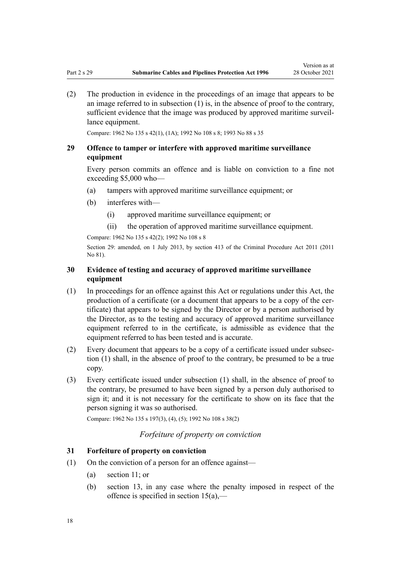<span id="page-17-0"></span>(2) The production in evidence in the proceedings of an image that appears to be an image referred to in subsection (1) is, in the absence of proof to the contrary, sufficient evidence that the image was produced by approved maritime surveil‐ lance equipment.

Compare: 1962 No 135 [s 42\(1\), \(1A\);](http://legislation.govt.nz/pdflink.aspx?id=DLM342902) 1992 No 108 s 8; 1993 No 88 s 35

## **29 Offence to tamper or interfere with approved maritime surveillance equipment**

Every person commits an offence and is liable on conviction to a fine not exceeding \$5,000 who—

- (a) tampers with approved maritime surveillance equipment; or
- (b) interferes with—
	- (i) approved maritime surveillance equipment; or
	- (ii) the operation of approved maritime surveillance equipment.

Compare: 1962 No 135 [s 42\(2\)](http://legislation.govt.nz/pdflink.aspx?id=DLM342902); 1992 No 108 s 8

Section 29: amended, on 1 July 2013, by [section 413](http://legislation.govt.nz/pdflink.aspx?id=DLM3360714) of the Criminal Procedure Act 2011 (2011 No 81).

## **30 Evidence of testing and accuracy of approved maritime surveillance equipment**

- (1) In proceedings for an offence against this Act or regulations under this Act, the production of a certificate (or a document that appears to be a copy of the certificate) that appears to be signed by the Director or by a person authorised by the Director, as to the testing and accuracy of approved maritime surveillance equipment referred to in the certificate, is admissible as evidence that the equipment referred to has been tested and is accurate.
- (2) Every document that appears to be a copy of a certificate issued under subsec‐ tion (1) shall, in the absence of proof to the contrary, be presumed to be a true copy.
- (3) Every certificate issued under subsection (1) shall, in the absence of proof to the contrary, be presumed to have been signed by a person duly authorised to sign it; and it is not necessary for the certificate to show on its face that the person signing it was so authorised.

Compare: 1962 No 135 [s 197\(3\), \(4\), \(5\);](http://legislation.govt.nz/pdflink.aspx?id=DLM344869) 1992 No 108 s 38(2)

## *Forfeiture of property on conviction*

#### **31 Forfeiture of property on conviction**

- (1) On the conviction of a person for an offence against—
	- (a) [section 11;](#page-7-0) or
	- (b) [section 13,](#page-9-0) in any case where the penalty imposed in respect of the offence is specified in [section 15\(a\),](#page-10-0)—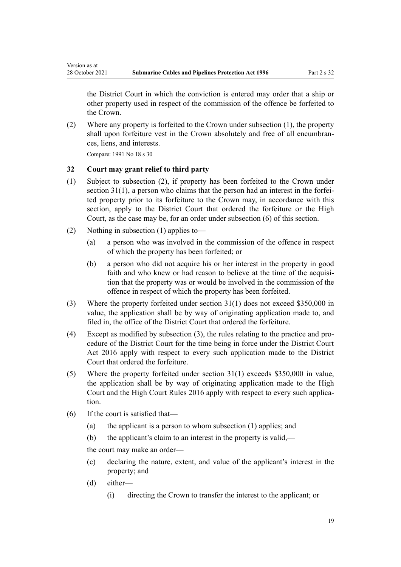the District Court in which the conviction is entered may order that a ship or other property used in respect of the commission of the offence be forfeited to the Crown.

(2) Where any property is forfeited to the Crown under subsection (1), the property shall upon forfeiture vest in the Crown absolutely and free of all encumbrances, liens, and interests.

Compare: 1991 No 18 [s 30](http://legislation.govt.nz/pdflink.aspx?id=DLM229500)

<span id="page-18-0"></span>Version as at

## **32 Court may grant relief to third party**

- (1) Subject to subsection (2), if property has been forfeited to the Crown under section  $31(1)$ , a person who claims that the person had an interest in the forfeited property prior to its forfeiture to the Crown may, in accordance with this section, apply to the District Court that ordered the forfeiture or the High Court, as the case may be, for an order under subsection (6) of this section.
- (2) Nothing in subsection (1) applies to—
	- (a) a person who was involved in the commission of the offence in respect of which the property has been forfeited; or
	- (b) a person who did not acquire his or her interest in the property in good faith and who knew or had reason to believe at the time of the acquisition that the property was or would be involved in the commission of the offence in respect of which the property has been forfeited.
- (3) Where the property forfeited under [section 31\(1\)](#page-17-0) does not exceed \$350,000 in value, the application shall be by way of originating application made to, and filed in, the office of the District Court that ordered the forfeiture.
- (4) Except as modified by subsection (3), the rules relating to the practice and pro‐ cedure of the District Court for the time being in force under the [District Court](http://legislation.govt.nz/pdflink.aspx?id=DLM6942200) [Act 2016](http://legislation.govt.nz/pdflink.aspx?id=DLM6942200) apply with respect to every such application made to the District Court that ordered the forfeiture.
- (5) Where the property forfeited under [section 31\(1\)](#page-17-0) exceeds \$350,000 in value, the application shall be by way of originating application made to the High Court and the [High Court Rules 2016](http://legislation.govt.nz/pdflink.aspx?id=DLM6959800) apply with respect to every such applica‐ tion.
- (6) If the court is satisfied that—
	- (a) the applicant is a person to whom subsection (1) applies; and
	- (b) the applicant's claim to an interest in the property is valid,—

the court may make an order—

- (c) declaring the nature, extent, and value of the applicant's interest in the property; and
- (d) either—
	- (i) directing the Crown to transfer the interest to the applicant; or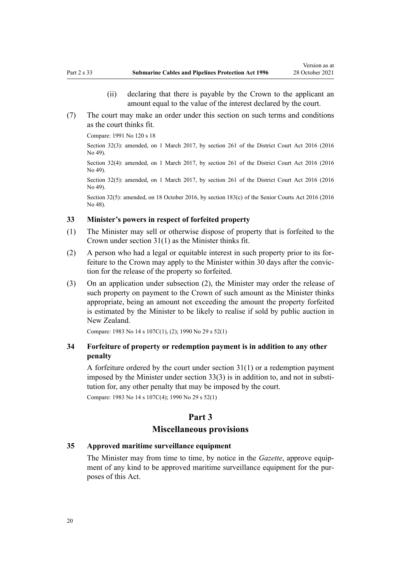- (ii) declaring that there is payable by the Crown to the applicant an amount equal to the value of the interest declared by the court.
- <span id="page-19-0"></span>(7) The court may make an order under this section on such terms and conditions as the court thinks fit.

Compare: 1991 No 120 [s 18](http://legislation.govt.nz/pdflink.aspx?id=DLM251068)

Section 32(3): amended, on 1 March 2017, by [section 261](http://legislation.govt.nz/pdflink.aspx?id=DLM6942680) of the District Court Act 2016 (2016) No 49).

Section 32(4): amended, on 1 March 2017, by [section 261](http://legislation.govt.nz/pdflink.aspx?id=DLM6942680) of the District Court Act 2016 (2016 No 49).

Section 32(5): amended, on 1 March 2017, by [section 261](http://legislation.govt.nz/pdflink.aspx?id=DLM6942680) of the District Court Act 2016 (2016 No 49).

Section 32(5): amended, on 18 October 2016, by [section 183\(c\)](http://legislation.govt.nz/pdflink.aspx?id=DLM5759564) of the Senior Courts Act 2016 (2016) No 48).

### **33 Minister's powers in respect of forfeited property**

- (1) The Minister may sell or otherwise dispose of property that is forfeited to the Crown under [section 31\(1\)](#page-17-0) as the Minister thinks fit.
- (2) A person who had a legal or equitable interest in such property prior to its for‐ feiture to the Crown may apply to the Minister within 30 days after the conviction for the release of the property so forfeited.
- (3) On an application under subsection (2), the Minister may order the release of such property on payment to the Crown of such amount as the Minister thinks appropriate, being an amount not exceeding the amount the property forfeited is estimated by the Minister to be likely to realise if sold by public auction in New Zealand.

Compare: 1983 No 14 [s 107C\(1\), \(2\)](http://legislation.govt.nz/pdflink.aspx?id=DLM70259); 1990 No 29 [s 52\(1\)](http://legislation.govt.nz/pdflink.aspx?id=DLM207516)

## **34 Forfeiture of property or redemption payment is in addition to any other penalty**

A forfeiture ordered by the court under [section 31\(1\)](#page-17-0) or a redemption payment imposed by the Minister under section  $33(3)$  is in addition to, and not in substitution for, any other penalty that may be imposed by the court.

Compare: 1983 No 14 [s 107C\(4\)](http://legislation.govt.nz/pdflink.aspx?id=DLM70259); 1990 No 29 [s 52\(1\)](http://legislation.govt.nz/pdflink.aspx?id=DLM207516)

## **Part 3**

#### **Miscellaneous provisions**

## **35 Approved maritime surveillance equipment**

The Minister may from time to time, by notice in the *Gazette*, approve equipment of any kind to be approved maritime surveillance equipment for the purposes of this Act.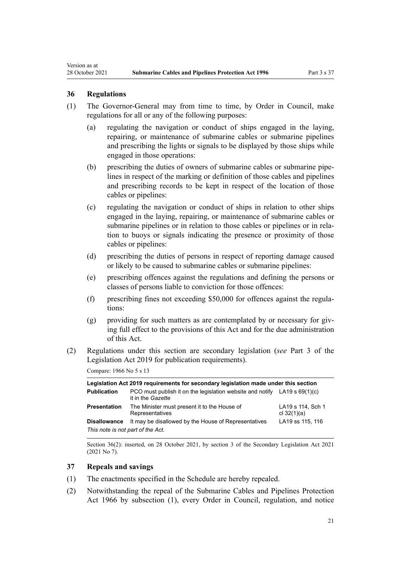#### **36 Regulations**

<span id="page-20-0"></span>Version as at

- (1) The Governor-General may from time to time, by Order in Council, make regulations for all or any of the following purposes:
	- (a) regulating the navigation or conduct of ships engaged in the laying, repairing, or maintenance of submarine cables or submarine pipelines and prescribing the lights or signals to be displayed by those ships while engaged in those operations:
	- (b) prescribing the duties of owners of submarine cables or submarine pipelines in respect of the marking or definition of those cables and pipelines and prescribing records to be kept in respect of the location of those cables or pipelines:
	- (c) regulating the navigation or conduct of ships in relation to other ships engaged in the laying, repairing, or maintenance of submarine cables or submarine pipelines or in relation to those cables or pipelines or in relation to buoys or signals indicating the presence or proximity of those cables or pipelines:
	- (d) prescribing the duties of persons in respect of reporting damage caused or likely to be caused to submarine cables or submarine pipelines:
	- (e) prescribing offences against the regulations and defining the persons or classes of persons liable to conviction for those offences:
	- (f) prescribing fines not exceeding \$50,000 for offences against the regula‐ tions:
	- $(g)$  providing for such matters as are contemplated by or necessary for giving full effect to the provisions of this Act and for the due administration of this Act.
- (2) Regulations under this section are secondary legislation (*see* [Part 3](http://legislation.govt.nz/pdflink.aspx?id=DLM7298343) of the Legislation Act 2019 for publication requirements).

Compare: 1966 No 5 s 13

| Legislation Act 2019 reguirements for secondary legislation made under this section |                                                                                                  |                                    |  |
|-------------------------------------------------------------------------------------|--------------------------------------------------------------------------------------------------|------------------------------------|--|
| <b>Publication</b>                                                                  | PCO must publish it on the legislation website and notify LA19 s $69(1)(c)$<br>it in the Gazette |                                    |  |
| Presentation                                                                        | The Minister must present it to the House of<br>Representatives                                  | LA19 s 114, Sch 1<br>cl $32(1)(a)$ |  |
| <b>Disallowance</b>                                                                 | It may be disallowed by the House of Representatives                                             | LA19 ss 115, 116                   |  |
| This note is not part of the Act.                                                   |                                                                                                  |                                    |  |

Section 36(2): inserted, on 28 October 2021, by [section 3](http://legislation.govt.nz/pdflink.aspx?id=LMS268932) of the Secondary Legislation Act 2021 (2021 No 7).

## **37 Repeals and savings**

- (1) The enactments specified in the [Schedule](#page-22-0) are hereby repealed.
- (2) Notwithstanding the repeal of the Submarine Cables and Pipelines Protection Act 1966 by subsection (1), every Order in Council, regulation, and notice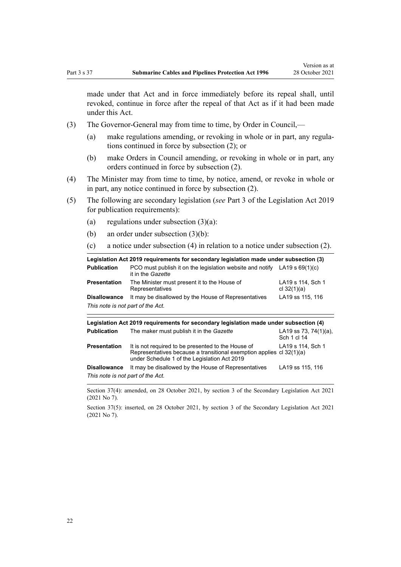made under that Act and in force immediately before its repeal shall, until revoked, continue in force after the repeal of that Act as if it had been made under this Act.

- (3) The Governor-General may from time to time, by Order in Council,—
	- (a) make regulations amending, or revoking in whole or in part, any regulations continued in force by subsection (2); or
	- (b) make Orders in Council amending, or revoking in whole or in part, any orders continued in force by subsection (2).
- (4) The Minister may from time to time, by notice, amend, or revoke in whole or in part, any notice continued in force by subsection (2).
- (5) The following are secondary legislation (*see* [Part 3](http://legislation.govt.nz/pdflink.aspx?id=DLM7298343) of the Legislation Act 2019 for publication requirements):
	- (a) regulations under subsection  $(3)(a)$ :
	- (b) an order under subsection (3)(b):
	- (c) a notice under subsection (4) in relation to a notice under subsection (2).

| Legislation Act 2019 requirements for secondary legislation made under subsection (3) |                                                                                                  |                                    |  |
|---------------------------------------------------------------------------------------|--------------------------------------------------------------------------------------------------|------------------------------------|--|
| <b>Publication</b>                                                                    | PCO must publish it on the legislation website and notify LA19 s $69(1)(c)$<br>it in the Gazette |                                    |  |
| <b>Presentation</b>                                                                   | The Minister must present it to the House of<br>Representatives                                  | LA19 s 114, Sch 1<br>cl $32(1)(a)$ |  |
| <b>Disallowance</b>                                                                   | It may be disallowed by the House of Representatives                                             | LA19 ss 115, 116                   |  |
| This note is not part of the Act.                                                     |                                                                                                  |                                    |  |

| Legislation Act 2019 requirements for secondary legislation made under subsection (4) |                                                                                                                                                                            |                                          |  |
|---------------------------------------------------------------------------------------|----------------------------------------------------------------------------------------------------------------------------------------------------------------------------|------------------------------------------|--|
| <b>Publication</b>                                                                    | The maker must publish it in the Gazette                                                                                                                                   | LA19 ss 73, 74 $(1)(a)$ ,<br>Sch 1 cl 14 |  |
| <b>Presentation</b>                                                                   | It is not required to be presented to the House of<br>Representatives because a transitional exemption applies cl 32(1)(a)<br>under Schedule 1 of the Legislation Act 2019 | LA19 s 114, Sch 1                        |  |
| <b>Disallowance</b>                                                                   | It may be disallowed by the House of Representatives                                                                                                                       | LA19 ss 115, 116                         |  |
| This note is not part of the Act.                                                     |                                                                                                                                                                            |                                          |  |

Section 37(4): amended, on 28 October 2021, by [section 3](http://legislation.govt.nz/pdflink.aspx?id=LMS268932) of the Secondary Legislation Act 2021 (2021 No 7).

Section 37(5): inserted, on 28 October 2021, by [section 3](http://legislation.govt.nz/pdflink.aspx?id=LMS268932) of the Secondary Legislation Act 2021 (2021 No 7).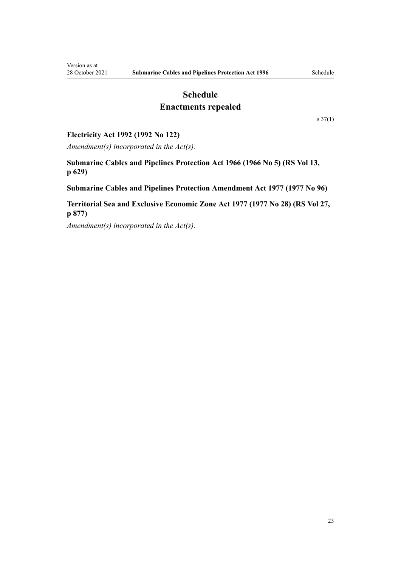# **Schedule**

# **Enactments repealed**

[s 37\(1\)](#page-20-0)

## <span id="page-22-0"></span>**Electricity Act 1992 (1992 No 122)**

*Amendment(s) incorporated in the [Act\(s\).](http://legislation.govt.nz/pdflink.aspx?id=DLM284185)*

**Submarine Cables and Pipelines Protection Act 1966 (1966 No 5) (RS Vol 13, p 629)**

**Submarine Cables and Pipelines Protection Amendment Act 1977 (1977 No 96)**

**Territorial Sea and Exclusive Economic Zone Act 1977 (1977 No 28) (RS Vol 27, p 877)**

*Amendment(s) incorporated in the Act(s).*